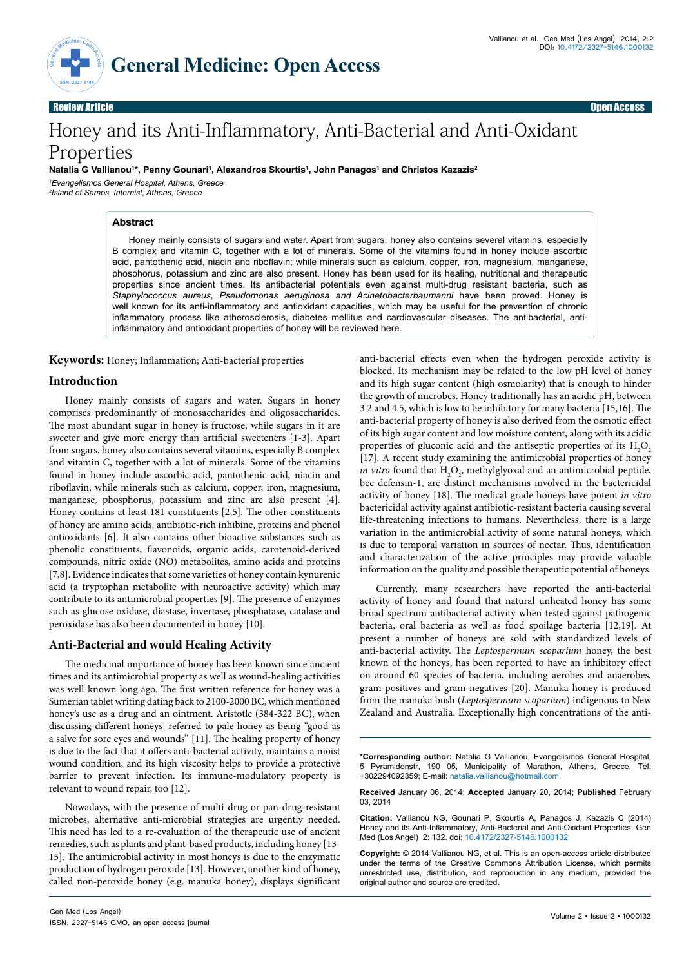

Review Article **Open Access and The Contract of Contract of Contract of Contract of Contract of Contract of Contract of Contract of Contract of Contract of Contract of Contract of Contract of Contract of Contract of Contra** 

# Honey and its Anti-Inflammatory, Anti-Bacterial and Anti-Oxidant Properties

**Natalia G Vallianou1 \*, Penny Gounari1 , Alexandros Skourtis1 , John Panagos1 and Christos Kazazis2** *1 Evangelismos General Hospital, Athens, Greece 2 Island of Samos, Internist, Athens, Greece*

## **Abstract**

Honey mainly consists of sugars and water. Apart from sugars, honey also contains several vitamins, especially B complex and vitamin C, together with a lot of minerals. Some of the vitamins found in honey include ascorbic acid, pantothenic acid, niacin and riboflavin; while minerals such as calcium, copper, iron, magnesium, manganese, phosphorus, potassium and zinc are also present. Honey has been used for its healing, nutritional and therapeutic properties since ancient times. Its antibacterial potentials even against multi-drug resistant bacteria, such as *Staphylococcus aureus, Pseudomonas aeruginosa and Acinetobacterbaumanni* have been proved. Honey is well known for its anti-inflammatory and antioxidant capacities, which may be useful for the prevention of chronic inflammatory process like atherosclerosis, diabetes mellitus and cardiovascular diseases. The antibacterial, antiinflammatory and antioxidant properties of honey will be reviewed here.

**Keywords:** Honey; Inflammation; Anti-bacterial properties

## **Introduction**

Ηoney mainly consists of sugars and water. Sugars in honey comprises predominantly of monosaccharides and oligosaccharides. The most abundant sugar in honey is fructose, while sugars in it are sweeter and give more energy than artificial sweeteners [1-3]. Apart from sugars, honey also contains several vitamins, especially B complex and vitamin C, together with a lot of minerals. Some of the vitamins found in honey include ascorbic acid, pantothenic acid, niacin and riboflavin; while minerals such as calcium, copper, iron, magnesium, manganese, phosphorus, potassium and zinc are also present [4]. Honey contains at least 181 constituents [2,5]. The other constituents of honey are amino acids, antibiotic-rich inhibine, proteins and phenol antioxidants [6]. It also contains other bioactive substances such as phenolic constituents, flavonoids, organic acids, carotenoid-derived compounds, nitric oxide (NO) metabolites, amino acids and proteins [7,8]. Evidence indicates that some varieties of honey contain kynurenic acid (a tryptophan metabolite with neuroactive activity) which may contribute to its antimicrobial properties [9]. The presence of enzymes such as glucose oxidase, diastase, invertase, phosphatase, catalase and peroxidase has also been documented in honey [10].

## **Anti-Bacterial and would Healing Activity**

The medicinal importance of honey has been known since ancient times and its antimicrobial property as well as wound-healing activities was well-known long ago. The first written reference for honey was a Sumerian tablet writing dating back to 2100-2000 BC, which mentioned honey's use as a drug and an ointment. Aristotle (384-322 BC), when discussing different honeys, referred to pale honey as being "good as a salve for sore eyes and wounds" [11]. The healing property of honey is due to the fact that it offers anti-bacterial activity, maintains a moist wound condition, and its high viscosity helps to provide a protective barrier to prevent infection. Its immune-modulatory property is relevant to wound repair, too [12].

Nowadays, with the presence of multi-drug or pan-drug-resistant microbes, alternative anti-microbial strategies are urgently needed. This need has led to a re-evaluation of the therapeutic use of ancient remedies, such as plants and plant-based products, including honey [13- 15]. The antimicrobial activity in most honeys is due to the enzymatic production of hydrogen peroxide [13]. However, another kind of honey, called non-peroxide honey (e.g. manuka honey), displays significant

anti-bacterial effects even when the hydrogen peroxide activity is blocked. Its mechanism may be related to the low pH level of honey and its high sugar content (high osmolarity) that is enough to hinder the growth of microbes. Honey traditionally has an acidic pH, between 3.2 and 4.5, which is low to be inhibitory for many bacteria [15,16]. The anti-bacterial property of honey is also derived from the osmotic effect of its high sugar content and low moisture content, along with its acidic properties of gluconic acid and the antiseptic properties of its  $H_2O_2$ [17]. A recent study examining the antimicrobial properties of honey *in vitro* found that  $H_2O_2$ , methylglyoxal and an antimicrobial peptide, bee defensin-1, are distinct mechanisms involved in the bactericidal activity of honey [18]. The medical grade honeys have potent *in vitro* bactericidal activity against antibiotic-resistant bacteria causing several life-threatening infections to humans. Nevertheless, there is a large variation in the antimicrobial activity of some natural honeys, which is due to temporal variation in sources of nectar. Thus, identification and characterization of the active principles may provide valuable information on the quality and possible therapeutic potential of honeys.

Currently, many researchers have reported the anti-bacterial activity of honey and found that natural unheated honey has some broad-spectrum antibacterial activity when tested against pathogenic bacteria, oral bacteria as well as food spoilage bacteria [12,19]. At present a number of honeys are sold with standardized levels of anti-bacterial activity. The *Leptospermum scoparium* honey, the best known of the honeys, has been reported to have an inhibitory effect on around 60 species of bacteria, including aerobes and anaerobes, gram-positives and gram-negatives [20]. Manuka honey is produced from the manuka bush (*Leptospermum scoparium*) indigenous to New Zealand and Australia. Exceptionally high concentrations of the anti-

**\*Corresponding author:** Natalia G Vallianou, Evangelismos General Hospital, 5 Pyramidonstr, 190 05, Municipality of Marathon, Athens, Greece, Tel: +302294092359; E-mail: natalia.vallianou@hotmail.com

**Received** January 06, 2014; **Accepted** January 20, 2014; **Published** February 03, 2014

**Citation:** Vallianou NG, Gounari P, Skourtis A, Panagos J, Kazazis C (2014) Honey and its Anti-Inflammatory, Anti-Bacterial and Anti-Oxidant Properties. Gen Med (Los Angel) 2: 132. doi: 10.4172/2327-5146.1000132

**Copyright:** © 2014 Vallianou NG, et al. This is an open-access article distributed under the terms of the Creative Commons Attribution License, which permits unrestricted use, distribution, and reproduction in any medium, provided the original author and source are credited.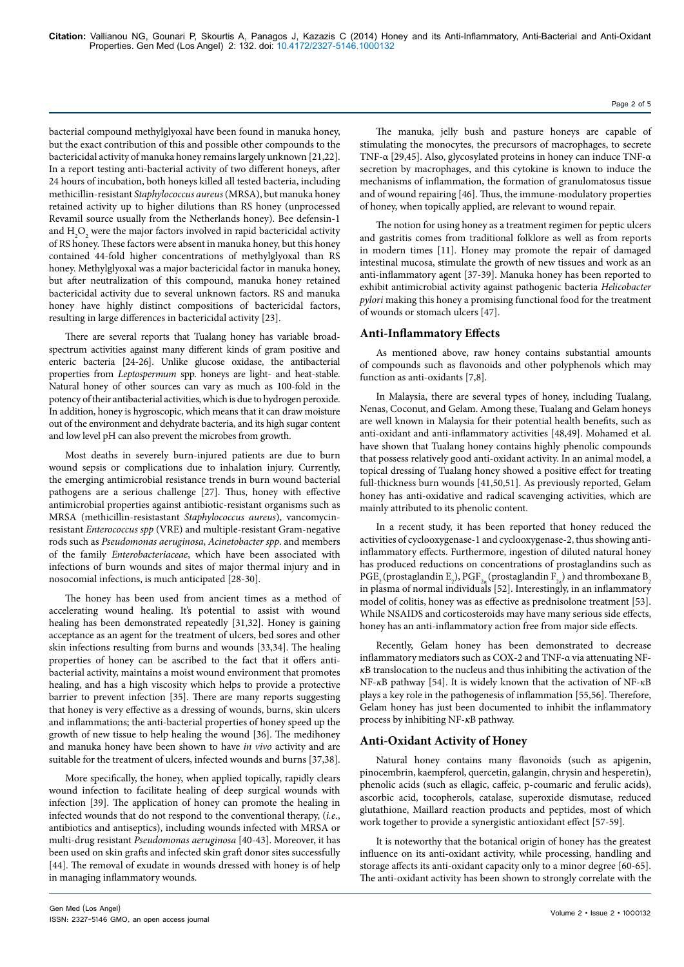bacterial compound methylglyoxal have been found in manuka honey, but the exact contribution of this and possible other compounds to the bactericidal activity of manuka honey remains largely unknown [21,22]. In a report testing anti-bacterial activity of two different honeys, after 24 hours of incubation, both honeys killed all tested bacteria, including methicillin-resistant *Staphylococcus aureus* (MRSA), but manuka honey retained activity up to higher dilutions than RS honey (unprocessed Revamil source usually from the Netherlands honey). Bee defensin-1 and  $\rm{H}_{2}\rm{O}_{2}$  were the major factors involved in rapid bactericidal activity of RS honey. These factors were absent in manuka honey, but this honey contained 44-fold higher concentrations of methylglyoxal than RS honey. Methylglyoxal was a major bactericidal factor in manuka honey, but after neutralization of this compound, manuka honey retained bactericidal activity due to several unknown factors. RS and manuka honey have highly distinct compositions of bactericidal factors, resulting in large differences in bactericidal activity [23].

There are several reports that Tualang honey has variable broadspectrum activities against many different kinds of gram positive and enteric bacteria [24-26]. Unlike glucose oxidase, the antibacterial properties from *Leptospermum* spp. honeys are light- and heat-stable. Natural honey of other sources can vary as much as 100-fold in the potency of their antibacterial activities, which is due to hydrogen peroxide. In addition, honey is hygroscopic, which means that it can draw moisture out of the environment and dehydrate bacteria, and its high sugar content and low level pH can also prevent the microbes from growth.

Most deaths in severely burn-injured patients are due to burn wound sepsis or complications due to inhalation injury. Currently, the emerging antimicrobial resistance trends in burn wound bacterial pathogens are a serious challenge [27]. Thus, honey with effective antimicrobial properties against antibiotic-resistant organisms such as MRSA (methicillin-resistastant *Staphylococcus aureus*), vancomycinresistant *Enterococcus spp* (VRE) and multiple-resistant Gram-negative rods such as *Pseudomonas aeruginosa*, *Acinetobacter spp*. and members of the family *Enterobacteriaceae*, which have been associated with infections of burn wounds and sites of major thermal injury and in nosocomial infections, is much anticipated [28-30].

The honey has been used from ancient times as a method of accelerating wound healing. It's potential to assist with wound healing has been demonstrated repeatedly [31,32]. Honey is gaining acceptance as an agent for the treatment of ulcers, bed sores and other skin infections resulting from burns and wounds [33,34]. The healing properties of honey can be ascribed to the fact that it offers antibacterial activity, maintains a moist wound environment that promotes healing, and has a high viscosity which helps to provide a protective barrier to prevent infection [35]. There are many reports suggesting that honey is very effective as a dressing of wounds, burns, skin ulcers and inflammations; the anti-bacterial properties of honey speed up the growth of new tissue to help healing the wound [36]. The medihoney and manuka honey have been shown to have *in vivo* activity and are suitable for the treatment of ulcers, infected wounds and burns [37,38].

More specifically, the honey, when applied topically, rapidly clears wound infection to facilitate healing of deep surgical wounds with infection [39]. The application of honey can promote the healing in infected wounds that do not respond to the conventional therapy, (*i.e.*, antibiotics and antiseptics), including wounds infected with MRSA or multi-drug resistant *Pseudomonas aeruginosa* [40-43]. Moreover, it has been used on skin grafts and infected skin graft donor sites successfully [44]. The removal of exudate in wounds dressed with honey is of help in managing inflammatory wounds.

The manuka, jelly bush and pasture honeys are capable of stimulating the monocytes, the precursors of macrophages, to secrete TNF-α [29,45]. Also, glycosylated proteins in honey can induce TNF-α secretion by macrophages, and this cytokine is known to induce the mechanisms of inflammation, the formation of granulomatosus tissue and of wound repairing [46]. Thus, the immune-modulatory properties of honey, when topically applied, are relevant to wound repair.

The notion for using honey as a treatment regimen for peptic ulcers and gastritis comes from traditional folklore as well as from reports in modern times [11]. Honey may promote the repair of damaged intestinal mucosa, stimulate the growth of new tissues and work as an anti-inflammatory agent [37-39]. Manuka honey has been reported to exhibit antimicrobial activity against pathogenic bacteria *Helicobacter pylori* making this honey a promising functional food for the treatment of wounds or stomach ulcers [47].

## **Anti-Inflammatory Effects**

As mentioned above, raw honey contains substantial amounts of compounds such as flavonoids and other polyphenols which may function as anti-oxidants [7,8].

In Malaysia, there are several types of honey, including Tualang, Nenas, Coconut, and Gelam. Among these, Tualang and Gelam honeys are well known in Malaysia for their potential health benefits, such as anti-oxidant and anti-inflammatory activities [48,49]. Mohamed et al. have shown that Tualang honey contains highly phenolic compounds that possess relatively good anti-oxidant activity. In an animal model, a topical dressing of Tualang honey showed a positive effect for treating full-thickness burn wounds [41,50,51]. As previously reported, Gelam honey has anti-oxidative and radical scavenging activities, which are mainly attributed to its phenolic content.

In a recent study, it has been reported that honey reduced the activities of cyclooxygenase-1 and cyclooxygenase-2, thus showing antiinflammatory effects. Furthermore, ingestion of diluted natural honey has produced reductions on concentrations of prostaglandins such as  $\mathrm{PGE}_2$  (prostaglandin  $\mathrm{E}_2$  ),  $\mathrm{PGF}_{2\alpha}$  (prostaglandin  $\mathrm{F}_{2\alpha}$  ) and thromboxane  $\mathrm{B}_2$ in plasma of normal individuals [52]. Interestingly, in an inflammatory model of colitis, honey was as effective as prednisolone treatment [53]. While NSAIDS and corticosteroids may have many serious side effects, honey has an anti-inflammatory action free from major side effects.

Recently, Gelam honey has been demonstrated to decrease inflammatory mediators such as COX-2 and TNF-α via attenuating NF*κ*B translocation to the nucleus and thus inhibiting the activation of the NF-*κ*B pathway [54]. It is widely known that the activation of NF-*κ*B plays a key role in the pathogenesis of inflammation [55,56]. Therefore, Gelam honey has just been documented to inhibit the inflammatory process by inhibiting NF-*κ*B pathway.

## **Anti-Oxidant Activity of Honey**

Natural honey contains many flavonoids (such as apigenin, pinocembrin, kaempferol, quercetin, galangin, chrysin and hesperetin), phenolic acids (such as ellagic, caffeic, p-coumaric and ferulic acids), ascorbic acid, tocopherols, catalase, superoxide dismutase, reduced glutathione, Maillard reaction products and peptides, most of which work together to provide a synergistic antioxidant effect [57-59].

It is noteworthy that the botanical origin of honey has the greatest influence on its anti-oxidant activity, while processing, handling and storage affects its anti-oxidant capacity only to a minor degree [60-65]. The anti-oxidant activity has been shown to strongly correlate with the

Page 2 of 5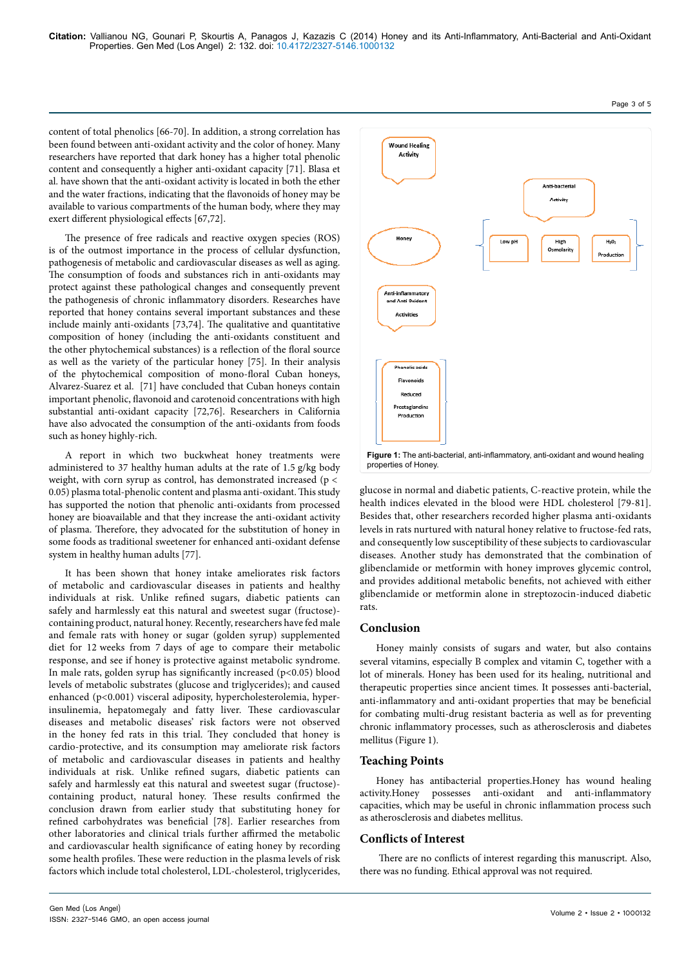content of total phenolics [66-70]. In addition, a strong correlation has been found between anti-oxidant activity and the color of honey. Many researchers have reported that dark honey has a higher total phenolic content and consequently a higher anti-oxidant capacity [71]. Blasa et al*.* have shown that the anti-oxidant activity is located in both the ether and the water fractions, indicating that the flavonoids of honey may be available to various compartments of the human body, where they may exert different physiological effects [67,72].

The presence of free radicals and reactive oxygen species (ROS) is of the outmost importance in the process of cellular dysfunction, pathogenesis of metabolic and cardiovascular diseases as well as aging. The consumption of foods and substances rich in anti-oxidants may protect against these pathological changes and consequently prevent the pathogenesis of chronic inflammatory disorders. Researches have reported that honey contains several important substances and these include mainly anti-oxidants [73,74]. The qualitative and quantitative composition of honey (including the anti-oxidants constituent and the other phytochemical substances) is a reflection of the floral source as well as the variety of the particular honey [75]. In their analysis of the phytochemical composition of mono-floral Cuban honeys, Alvarez-Suarez et al. [71] have concluded that Cuban honeys contain important phenolic, flavonoid and carotenoid concentrations with high substantial anti-oxidant capacity [72,76]. Researchers in California have also advocated the consumption of the anti-oxidants from foods such as honey highly-rich.

A report in which two buckwheat honey treatments were administered to 37 healthy human adults at the rate of 1.5 g/kg body weight, with corn syrup as control, has demonstrated increased ( $p <$ 0.05) plasma total-phenolic content and plasma anti-oxidant. This study has supported the notion that phenolic anti-oxidants from processed honey are bioavailable and that they increase the anti-oxidant activity of plasma. Therefore, they advocated for the substitution of honey in some foods as traditional sweetener for enhanced anti-oxidant defense system in healthy human adults [77].

It has been shown that honey intake ameliorates risk factors of metabolic and cardiovascular diseases in patients and healthy individuals at risk. Unlike refined sugars, diabetic patients can safely and harmlessly eat this natural and sweetest sugar (fructose) containing product, natural honey. Recently, researchers have fed male and female rats with honey or sugar (golden syrup) supplemented diet for 12 weeks from 7 days of age to compare their metabolic response, and see if honey is protective against metabolic syndrome. In male rats, golden syrup has significantly increased  $(p<0.05)$  blood levels of metabolic substrates (glucose and triglycerides); and caused enhanced (p<0.001) visceral adiposity, hypercholesterolemia, hyperinsulinemia, hepatomegaly and fatty liver. These cardiovascular diseases and metabolic diseases' risk factors were not observed in the honey fed rats in this trial. They concluded that honey is cardio-protective, and its consumption may ameliorate risk factors of metabolic and cardiovascular diseases in patients and healthy individuals at risk. Unlike refined sugars, diabetic patients can safely and harmlessly eat this natural and sweetest sugar (fructose) containing product, natural honey. These results confirmed the conclusion drawn from earlier study that substituting honey for refined carbohydrates was beneficial [78]. Earlier researches from other laboratories and clinical trials further affirmed the metabolic and cardiovascular health significance of eating honey by recording some health profiles. These were reduction in the plasma levels of risk factors which include total cholesterol, LDL-cholesterol, triglycerides,

ISSN: 2327-5146 GMO, an open access journal



glucose in normal and diabetic patients, C-reactive protein, while the health indices elevated in the blood were HDL cholesterol [79-81]. Besides that, other researchers recorded higher plasma anti-oxidants levels in rats nurtured with natural honey relative to fructose-fed rats, and consequently low susceptibility of these subjects to cardiovascular diseases. Another study has demonstrated that the combination of glibenclamide or metformin with honey improves glycemic control, and provides additional metabolic benefits, not achieved with either glibenclamide or metformin alone in streptozocin-induced diabetic rats.

## **Conclusion**

Honey mainly consists of sugars and water, but also contains several vitamins, especially B complex and vitamin C, together with a lot of minerals. Honey has been used for its healing, nutritional and therapeutic properties since ancient times. It possesses anti-bacterial, anti-inflammatory and anti-oxidant properties that may be beneficial for combating multi-drug resistant bacteria as well as for preventing chronic inflammatory processes, such as atherosclerosis and diabetes mellitus (Figure 1).

## **Teaching Points**

Honey has antibacterial properties.Honey has wound healing activity.Honey possesses anti-oxidant and anti-inflammatory capacities, which may be useful in chronic inflammation process such as atherosclerosis and diabetes mellitus.

## **Conflicts of Interest**

There are no conflicts of interest regarding this manuscript. Also, there was no funding. Ethical approval was not required.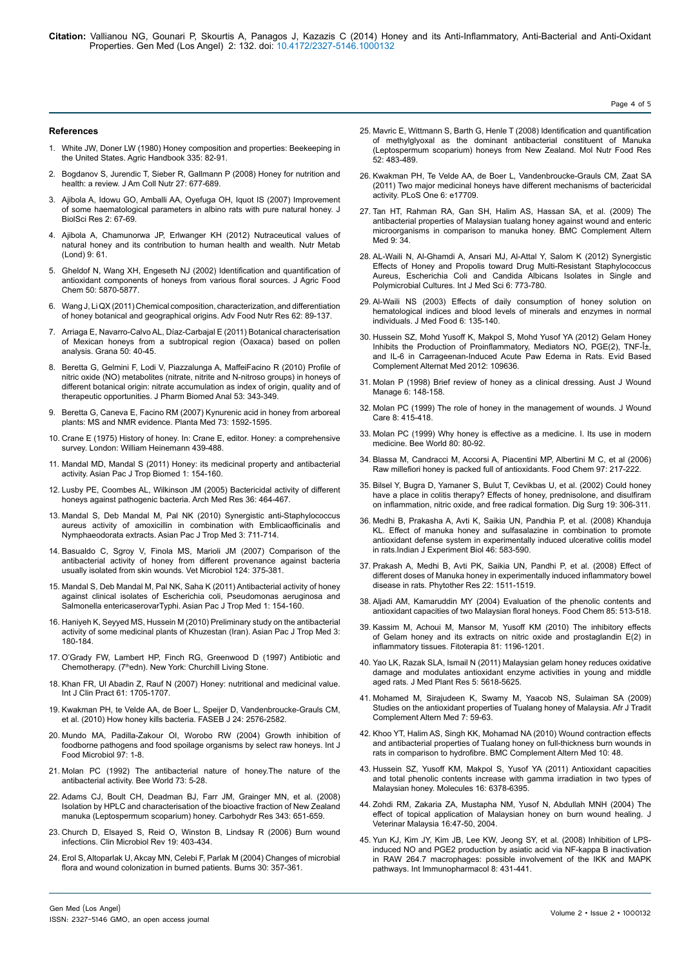**Citation:** Vallianou NG, Gounari P, Skourtis A, Panagos J, Kazazis C (2014) Honey and its Anti-Inflammatory, Anti-Bacterial and Anti-Oxidant Properties. Gen Med (Los Angel) 2: 132. doi: 10.4172/2327-5146.1000132

#### **References**

- 1. White JW, Doner LW (1980) [Honey composition and properties: Beekeeping in](http://www.beesource.com/resources/usda/honey-composition-and-properties/) [the United States. Agric Handbook 335:](http://www.beesource.com/resources/usda/honey-composition-and-properties/) 82-91.
- 2. [Bogdanov S, Jurendic T, Sieber R, Gallmann P \(2008\) Honey for nutrition and](http://www.ncbi.nlm.nih.gov/pubmed/19155427) [health: a review. J Am Coll Nutr 27: 677-689.](http://www.ncbi.nlm.nih.gov/pubmed/19155427)
- 3. Ajibola A, Idowu GO, Amballi AA, Oyefuga OH, Iquot IS (2007) Improvement of some haematological parameters in albino rats with pure natural honey. J BiolSci Res 2: 67-69.
- 4. [Ajibola A, Chamunorwa JP, Erlwanger KH \(2012\) Nutraceutical values of](http://www.ncbi.nlm.nih.gov/pubmed/22716101) [natural honey and its contribution to human health and wealth. Nutr Metab](http://www.ncbi.nlm.nih.gov/pubmed/22716101)  $($ l ond)  $9.61$
- 5. [Gheldof N, Wang XH, Engeseth NJ \(2002\) Identification and quantification of](http://www.ncbi.nlm.nih.gov/pubmed/12358452) [antioxidant components of honeys from various floral sources. J Agric Food](http://www.ncbi.nlm.nih.gov/pubmed/12358452) [Chem 50: 5870-5877.](http://www.ncbi.nlm.nih.gov/pubmed/12358452)
- 6. [Wang J, Li QX \(2011\) Chemical composition, characterization, and differentiation](http://www.ncbi.nlm.nih.gov/pubmed/21504822) [of honey botanical and geographical origins. Adv Food Nutr Res 62: 89-137.](http://www.ncbi.nlm.nih.gov/pubmed/21504822)
- 7. [Arriaga E, Navarro-Calvo AL, Díaz-Carbajal E \(2011\) Botanical characterisation](http://www.tandfonline.com/doi/abs/10.1080/00173134.2010.537767#.UuN9RazhXDc) [of Mexican honeys from a subtropical region \(Oaxaca\) based on pollen](http://www.tandfonline.com/doi/abs/10.1080/00173134.2010.537767#.UuN9RazhXDc) [analysis. Grana 50:](http://www.tandfonline.com/doi/abs/10.1080/00173134.2010.537767#.UuN9RazhXDc) 40-45.
- 8. [Beretta G, Gelmini F, Lodi V, Piazzalunga A, MaffeiFacino R](https://www.ncbi.nlm.nih.gov/pubmed/20451343) (2010) Profile of [nitric oxide \(NO\) metabolites \(nitrate, nitrite and N-nitroso groups\) in honeys of](https://www.ncbi.nlm.nih.gov/pubmed/20451343) [different botanical origin: nitrate accumulation as index of origin, quality and of](https://www.ncbi.nlm.nih.gov/pubmed/20451343) [therapeutic opportunities. J Pharm Biomed Anal 53:](https://www.ncbi.nlm.nih.gov/pubmed/20451343) 343-349.
- 9. [Beretta G, Caneva E, Facino RM \(2007\) Kynurenic acid in honey from arboreal](http://www.ncbi.nlm.nih.gov/pubmed/17999354) [plants: MS and NMR evidence. Planta Med 73: 1592-1595.](http://www.ncbi.nlm.nih.gov/pubmed/17999354)
- 10. Crane E (1975) [History of honey. In: Crane E, editor. Honey: a comprehensive](http://www.cabdirect.org/abstracts/19751432522.html;jsessionid=49678BC580E10D7F955566A1727E83E8) [survey. London: William Heinemann](http://www.cabdirect.org/abstracts/19751432522.html;jsessionid=49678BC580E10D7F955566A1727E83E8) 439-488.
- 11. [Mandal MD, Mandal S \(2011\) Honey: its medicinal property and antibacterial](http://www.ncbi.nlm.nih.gov/pubmed/23569748) [activity. Asian Pac J Trop Biomed 1: 154-160.](http://www.ncbi.nlm.nih.gov/pubmed/23569748)
- 12. [Lusby PE, Coombes AL, Wilkinson JM \(2005\) Bactericidal activity of different](http://www.ncbi.nlm.nih.gov/pubmed/16099322) [honeys against pathogenic bacteria. Arch Med Res 36: 464-467.](http://www.ncbi.nlm.nih.gov/pubmed/16099322)
- 13. [Mandal S, Deb Mandal M, Pal NK \(2010\) Synergistic anti-Staphylococcus](http://www.sciencedirect.com/science/article/pii/S199576451060171X) [aureus activity of amoxicillin in combination with Emblicaofficinalis and](http://www.sciencedirect.com/science/article/pii/S199576451060171X) [Nymphaeodorata extracts. Asian Pac J Trop Med](http://www.sciencedirect.com/science/article/pii/S199576451060171X) 3: 711-714.
- 14. [Basualdo C, Sgroy V, Finola MS, Marioli JM \(2007\) Comparison of the](http://www.ncbi.nlm.nih.gov/pubmed/17540520) [antibacterial activity of honey from different provenance against bacteria](http://www.ncbi.nlm.nih.gov/pubmed/17540520) [usually isolated from skin wounds. Vet Microbiol 124: 375-381.](http://www.ncbi.nlm.nih.gov/pubmed/17540520)
- 15. [Mandal S, Deb Mandal M, Pal NK, Saha K \(2011\) Antibacterial activity of honey](http://www.sciencedirect.com/science/article/pii/S1995764511600096) [against clinical isolates of Escherichia coli, Pseudomonas aeruginosa and](http://www.sciencedirect.com/science/article/pii/S1995764511600096) [Salmonella entericaserovarTyphi. Asian Pac J Trop Med 1:](http://www.sciencedirect.com/science/article/pii/S1995764511600096) 154-160.
- 16. [Haniyeh K, Seyyed MS, Hussein M \(2010\) Preliminary study on the antibacterial](http://www.sciencedirect.com/science/article/pii/S1995764510600041) [activity of some medicinal plants of Khuzestan \(Iran\).](http://www.sciencedirect.com/science/article/pii/S1995764510600041) Asian Pac J Trop Med 3: [180-184.](http://www.sciencedirect.com/science/article/pii/S1995764510600041)
- 17. [O'Grady FW, Lambert HP, Finch RG, Greenwood D](http://store.elsevier.com/Antibiotic-and-Chemotherapy/Roger-Finch/isbn-9780702040641/) (1997) Antibiotic and Chemotherapy. (7<sup>th</sup>edn)[. New York: Churchill Living Stone.](http://store.elsevier.com/Antibiotic-and-Chemotherapy/Roger-Finch/isbn-9780702040641/)
- 18. [Khan FR, Ul Abadin Z, Rauf N \(2007\) Honey: nutritional and medicinal value.](http://www.ncbi.nlm.nih.gov/pubmed/17877657) [Int J Clin Pract 61: 1705-1707.](http://www.ncbi.nlm.nih.gov/pubmed/17877657)
- 19. [Kwakman PH, te Velde AA, de Boer L, Speijer D, Vandenbroucke-Grauls CM,](http://www.ncbi.nlm.nih.gov/pubmed/20228250) [et al. \(2010\) How honey kills bacteria. FASEB J 24: 2576-2582.](http://www.ncbi.nlm.nih.gov/pubmed/20228250)
- 20. [Mundo MA, Padilla-Zakour OI, Worobo RW \(2004\) Growth inhibition of](http://www.ncbi.nlm.nih.gov/pubmed/15527912) [foodborne pathogens and food spoilage organisms by select raw honeys. Int J](http://www.ncbi.nlm.nih.gov/pubmed/15527912) [Food Microbiol 97: 1-8.](http://www.ncbi.nlm.nih.gov/pubmed/15527912)
- 21. Molan PC (1992) [The antibacterial nature of honey.The nature of the](http://www.ibra.org.uk/articles/Antibacterial-activity-of-honey-1-The-nature-of-the-antibacterial-activity) [antibacterial activity. Bee World 73:](http://www.ibra.org.uk/articles/Antibacterial-activity-of-honey-1-The-nature-of-the-antibacterial-activity) 5-28.
- 22. [Adams CJ, Boult CH, Deadman BJ, Farr JM, Grainger MN, et al. \(2008\)](http://www.ncbi.nlm.nih.gov/pubmed/18194804) [Isolation by HPLC and characterisation of the bioactive fraction of New Zealand](http://www.ncbi.nlm.nih.gov/pubmed/18194804) [manuka \(Leptospermum scoparium\) honey. Carbohydr Res 343: 651-659.](http://www.ncbi.nlm.nih.gov/pubmed/18194804)
- 23. [Church D, Elsayed S, Reid O, Winston B, Lindsay R \(2006\) Burn wound](http://www.ncbi.nlm.nih.gov/pubmed/16614255) [infections. Clin Microbiol Rev 19: 403-434.](http://www.ncbi.nlm.nih.gov/pubmed/16614255)
- 24. [Erol S, Altoparlak U, Akcay MN, Celebi F, Parlak M \(2004\) Changes of microbial](http://www.ncbi.nlm.nih.gov/pubmed/15145194) [flora and wound colonization in burned patients. Burns 30: 357-361.](http://www.ncbi.nlm.nih.gov/pubmed/15145194)
- 25. [Mavric E, Wittmann S, Barth G, Henle T \(2008\) Identification and quantification](http://www.ncbi.nlm.nih.gov/pubmed/18210383)  [of methylglyoxal as the dominant antibacterial constituent of Manuka](http://www.ncbi.nlm.nih.gov/pubmed/18210383) [\(Leptospermum scoparium\) honeys from New Zealand. Mol Nutr Food Res](http://www.ncbi.nlm.nih.gov/pubmed/18210383)  [52: 483-489.](http://www.ncbi.nlm.nih.gov/pubmed/18210383)
- 26. [Kwakman PH, Te Velde AA, de Boer L, Vandenbroucke-Grauls CM, Zaat SA](http://www.ncbi.nlm.nih.gov/pubmed/21394213)  [\(2011\) Two major medicinal honeys have different mechanisms of bactericidal](http://www.ncbi.nlm.nih.gov/pubmed/21394213)  [activity. PLoS One 6: e17709.](http://www.ncbi.nlm.nih.gov/pubmed/21394213)
- 27. [Tan HT, Rahman RA, Gan SH, Halim AS, Hassan SA, et al. \(2009\) The](http://www.ncbi.nlm.nih.gov/pubmed/19754926)  [antibacterial properties of Malaysian tualang honey against wound and enteric](http://www.ncbi.nlm.nih.gov/pubmed/19754926) [microorganisms in comparison to manuka honey. BMC Complement Altern](http://www.ncbi.nlm.nih.gov/pubmed/19754926) [Med 9: 34.](http://www.ncbi.nlm.nih.gov/pubmed/19754926)
- 28. [AL-Waili N, Al-Ghamdi A, Ansari MJ, Al-Attal Y, Salom K \(2012\) Synergistic](http://www.ncbi.nlm.nih.gov/pubmed/23136543) [Effects of Honey and Propolis toward Drug Multi-Resistant Staphylococcus](http://www.ncbi.nlm.nih.gov/pubmed/23136543)  [Aureus, Escherichia Coli and Candida Albicans Isolates in Single and](http://www.ncbi.nlm.nih.gov/pubmed/23136543) [Polymicrobial Cultures. Int J Med Sci](http://www.ncbi.nlm.nih.gov/pubmed/23136543) 6: 773-780.
- 29. [Al-Waili NS \(2003\) Effects of daily consumption of honey solution on](http://www.ncbi.nlm.nih.gov/pubmed/12935325) [hematological indices and blood levels of minerals and enzymes in normal](http://www.ncbi.nlm.nih.gov/pubmed/12935325) [individuals. J Med Food 6: 135-140.](http://www.ncbi.nlm.nih.gov/pubmed/12935325)
- 30. [Hussein SZ, Mohd Yusoff K, Makpol S, Mohd Yusof YA \(2012\) Gelam Honey](http://www.ncbi.nlm.nih.gov/pubmed/22919407)  Inhibits the Production of Proinflammatory, Mediators NO, PGE(2), TNF-I<sup>+</sup>, [and IL-6 in Carrageenan-Induced Acute Paw Edema in Rats. Evid Based](http://www.ncbi.nlm.nih.gov/pubmed/22919407)  [Complement Alternat Med 2012: 109636.](http://www.ncbi.nlm.nih.gov/pubmed/22919407)
- 31. Molan P (1998) Brief review of honey as a clinical dressing. Aust J Wound Manage 6: 148-158.
- 32. [Molan PC \(1999\) The role of honey in the management of wounds. J Wound](http://www.ncbi.nlm.nih.gov/pubmed/10808853)  [Care 8: 415-418.](http://www.ncbi.nlm.nih.gov/pubmed/10808853)
- 33. [Molan PC \(1999\) Why honey is effective as a medicine. I. Its use in modern](http://researchcommons.waikato.ac.nz/bitstream/handle/10289/2059/?sequence=1) [medicine. Bee World](http://researchcommons.waikato.ac.nz/bitstream/handle/10289/2059/?sequence=1) 80: 80-92.
- 34. [Blassa M, Candracci M, Accorsi A, Piacentini MP, Albertini M C, et al \(2006\)](http://www.sciencedirect.com/science/article/pii/S0308814605003262) [Raw millefiori honey is packed full of antioxidants. Food Chem](http://www.sciencedirect.com/science/article/pii/S0308814605003262) 97: 217-222.
- 35. [Bilsel Y, Bugra D, Yamaner S, Bulut T, Cevikbas U, et al. \(2002\) Could honey](http://www.ncbi.nlm.nih.gov/pubmed/12207075)  [have a place in colitis therapy? Effects of honey, prednisolone, and disulfiram](http://www.ncbi.nlm.nih.gov/pubmed/12207075)  [on inflammation, nitric oxide, and free radical formation. Dig Surg 19: 306-311.](http://www.ncbi.nlm.nih.gov/pubmed/12207075)
- 36. [Medhi B, Prakasha A, Avti K, Saikia UN, Pandhia P, et al. \(2008\) Khanduja](http://www.ncbi.nlm.nih.gov/pubmed/18814487)  [KL. Effect of manuka honey and sulfasalazine in combination to promote](http://www.ncbi.nlm.nih.gov/pubmed/18814487) [antioxidant defense system in experimentally induced ulcerative colitis model](http://www.ncbi.nlm.nih.gov/pubmed/18814487) [in rats.Indian J Experiment Biol](http://www.ncbi.nlm.nih.gov/pubmed/18814487) 46: 583-590.
- 37. [Prakash A, Medhi B, Avti PK, Saikia UN, Pandhi P, et al. \(2008\) Effect of](http://www.ncbi.nlm.nih.gov/pubmed/18688794) [different doses of Manuka honey in experimentally induced inflammatory bowel](http://www.ncbi.nlm.nih.gov/pubmed/18688794)  [disease in rats. Phytother Res 22: 1511-1519.](http://www.ncbi.nlm.nih.gov/pubmed/18688794)
- 38. [Aljadi AM, Kamaruddin MY \(2004\) Evaluation of the phenolic contents and](http://www.sciencedirect.com/science/article/pii/S0308814602005964) [antioxidant capacities of two Malaysian floral honeys.](http://www.sciencedirect.com/science/article/pii/S0308814602005964) Food Chem 85: 513-518.
- 39. [Kassim M, Achoui M, Mansor M, Yusoff KM \(2010\) The inhibitory effects](http://www.ncbi.nlm.nih.gov/pubmed/20708657)  [of Gelam honey and its extracts on nitric oxide and prostaglandin E\(2\) in](http://www.ncbi.nlm.nih.gov/pubmed/20708657) [inflammatory tissues. Fitoterapia 81: 1196-1201.](http://www.ncbi.nlm.nih.gov/pubmed/20708657)
- 40. Yao LK, Razak SLA, Ismail N [\(2011\) Malaysian gelam honey reduces oxidative](http://www.researchgate.net/publication/235919062_Malaysian_gelam_honey_reduces_oxidative_damage_and_modulates_antioxidant_enzyme_activities_in_young_and_middle_aged_rats) [damage and modulates antioxidant enzyme activities in young and middle](http://www.researchgate.net/publication/235919062_Malaysian_gelam_honey_reduces_oxidative_damage_and_modulates_antioxidant_enzyme_activities_in_young_and_middle_aged_rats) [aged rats. J Med Plant Res 5:](http://www.researchgate.net/publication/235919062_Malaysian_gelam_honey_reduces_oxidative_damage_and_modulates_antioxidant_enzyme_activities_in_young_and_middle_aged_rats) 5618-5625.
- 41. [Mohamed M, Sirajudeen K, Swamy M, Yaacob NS, Sulaiman SA \(2009\)](http://www.ncbi.nlm.nih.gov/pubmed/21304614) [Studies on the antioxidant properties of Tualang honey of Malaysia. Afr J Tradit](http://www.ncbi.nlm.nih.gov/pubmed/21304614)  [Complement Altern Med 7: 59-63.](http://www.ncbi.nlm.nih.gov/pubmed/21304614)
- 42. [Khoo YT, Halim AS, Singh KK, Mohamad NA \(2010\) Wound contraction effects](http://www.ncbi.nlm.nih.gov/pubmed/20815896)  [and antibacterial properties of Tualang honey on full-thickness burn wounds in](http://www.ncbi.nlm.nih.gov/pubmed/20815896)  [rats in comparison to hydrofibre. BMC Complement Altern Med 10: 48.](http://www.ncbi.nlm.nih.gov/pubmed/20815896)
- 43. [Hussein SZ, Yusoff KM, Makpol S, Yusof YA \(2011\) Antioxidant capacities](http://www.ncbi.nlm.nih.gov/pubmed/21796076)  [and total phenolic contents increase with gamma irradiation in two types of](http://www.ncbi.nlm.nih.gov/pubmed/21796076) [Malaysian honey. Molecules 16: 6378-6395.](http://www.ncbi.nlm.nih.gov/pubmed/21796076)
- 44. [Zohdi RM, Zakaria ZA, Mustapha NM, Yusof N, Abdullah MNH](http://psasir.upm.edu.my/7777/) (2004) The [effect of topical application of Malaysian honey on burn wound healing. J](http://psasir.upm.edu.my/7777/) [Veterinar Malaysia 16:47-50, 2004.](http://psasir.upm.edu.my/7777/)
- 45. [Yun KJ, Kim JY, Kim JB, Lee KW, Jeong SY, et al. \(2008\) Inhibition of LPS](http://www.ncbi.nlm.nih.gov/pubmed/18279797)[induced NO and PGE2 production by asiatic acid via NF-kappa B inactivation](http://www.ncbi.nlm.nih.gov/pubmed/18279797)  [in RAW 264.7 macrophages: possible involvement of the IKK and MAPK](http://www.ncbi.nlm.nih.gov/pubmed/18279797)  [pathways. Int Immunopharmacol 8: 431-441.](http://www.ncbi.nlm.nih.gov/pubmed/18279797)

Page 4 of 5